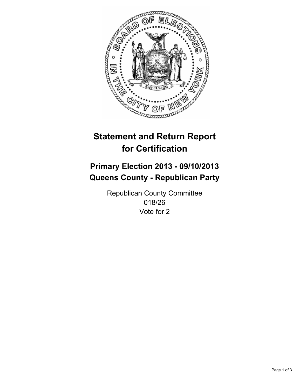

# **Statement and Return Report for Certification**

# **Primary Election 2013 - 09/10/2013 Queens County - Republican Party**

Republican County Committee 018/26 Vote for 2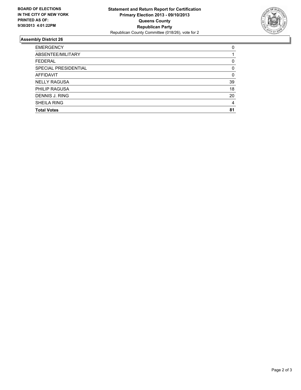

## **Assembly District 26**

| <b>EMERGENCY</b>     | 0        |
|----------------------|----------|
| ABSENTEE/MILITARY    |          |
| <b>FEDERAL</b>       | 0        |
| SPECIAL PRESIDENTIAL | $\Omega$ |
| AFFIDAVIT            | 0        |
| <b>NELLY RAGUSA</b>  | 39       |
| <b>PHILIP RAGUSA</b> | 18       |
| DENNIS J. RING       | 20       |
| <b>SHEILA RING</b>   | 4        |
| <b>Total Votes</b>   | 81       |